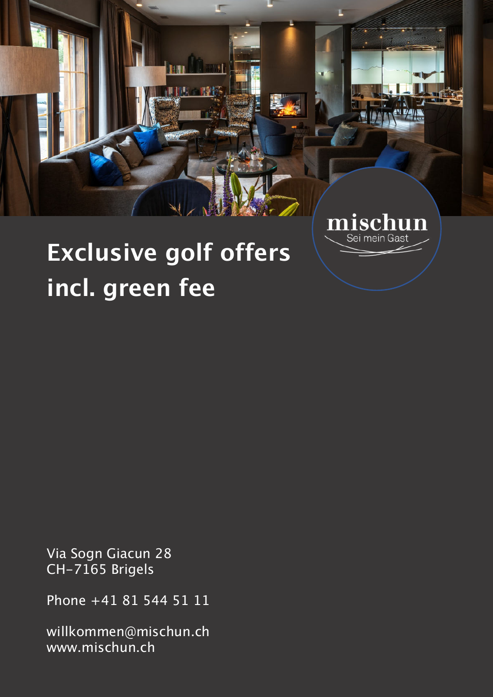

Sei mein Gast

# **Exclusive golf offers incl. green fee**

Via Sogn Giacun 28 CH-7165 Brigels

Phone +41 81 544 51 11

willkommen@mischun.ch www.mischun.ch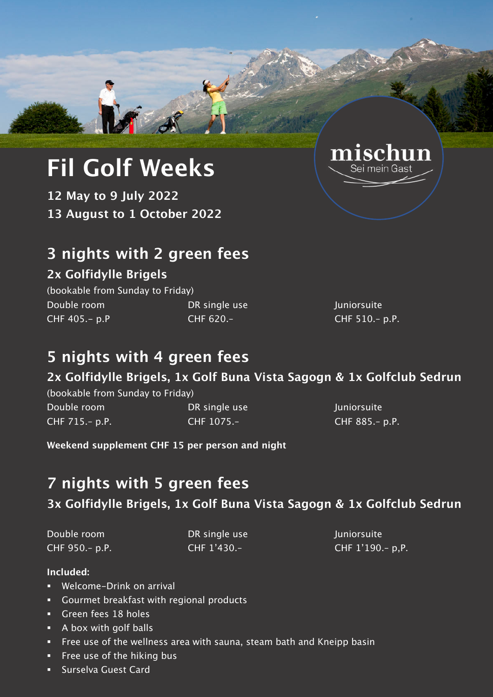# **Fil Golf Weeks**

**12 May to 9 July 2022 13 August to 1 October 2022** 

# **3 nights with 2 green fees**

### **2x Golfidylle Brigels**

(bookable from Sunday to Friday) Double room **DR** single use Juniorsuite CHF 405.- p.P CHF 620.– CHF 510.– p.P.

# **5 nights with 4 green fees**

## **2x Golfidylle Brigels, 1x Golf Buna Vista Sagogn & 1x Golfclub Sedrun**

(bookable from Sunday to Friday) Double room DR single use Juniorsuite CHF 715.– p.P. CHF 1075.– CHF 885.– p.P.

**Weekend supplement CHF 15 per person and night** 

# **7 nights with 5 green fees**

## **3x Golfidylle Brigels, 1x Golf Buna Vista Sagogn & 1x Golfclub Sedrun**

Double room **DR** single use DR single use Juniorsuite

CHF 950.– p.P. CHF 1'430.– CHF 1'190.– p,P.

#### **Included:**

- ! Welcome-Drink on arrival
- ! Gourmet breakfast with regional products
- **Creen fees 18 holes**
- ! A box with golf balls
- **Example 1** Free use of the wellness area with sauna, steam bath and Kneipp basin
- **Example 1** Free use of the hiking bus
- ! Surselva Guest Card